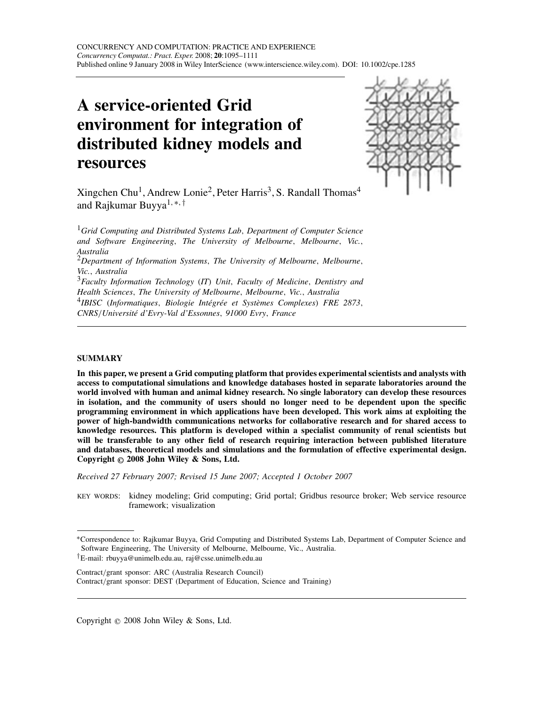# **A service-oriented Grid environment for integration of distributed kidney models and resources**



Xingchen Chu<sup>1</sup>, Andrew Lonie<sup>2</sup>, Peter Harris<sup>3</sup>, S. Randall Thomas<sup>4</sup> and Rajkumar Buyya1*,*∗*, †*

<sup>1</sup>*Grid Computing and Distributed Systems Lab, Department of Computer Science and Software Engineering, The University of Melbourne, Melbourne, Vic., Australia* <sup>2</sup>*Department of Information Systems, The University of Melbourne, Melbourne, Vic., Australia* <sup>3</sup>*Faculty Information Technology (IT) Unit, Faculty of Medicine, Dentistry and Health Sciences, The University of Melbourne, Melbourne, Vic., Australia* <sup>4</sup>*IBISC* (*Informatiques*, *Biologie Intégrée et Systèmes Complexes*) *FRE* 2873, *CNRS/Universite d'Evry-Val d'Essonnes ´ , 91000 Evry, France*

#### **SUMMARY**

**In this paper, we present a Grid computing platform that provides experimental scientists and analysts with access to computational simulations and knowledge databases hosted in separate laboratories around the world involved with human and animal kidney research. No single laboratory can develop these resources in isolation, and the community of users should no longer need to be dependent upon the specific programming environment in which applications have been developed. This work aims at exploiting the power of high-bandwidth communications networks for collaborative research and for shared access to knowledge resources. This platform is developed within a specialist community of renal scientists but will be transferable to any other field of research requiring interaction between published literature and databases, theoretical models and simulations and the formulation of effective experimental design. Copyright © 2008 John Wiley & Sons, Ltd.**

*Received 27 February 2007; Revised 15 June 2007; Accepted 1 October 2007*

KEY WORDS: kidney modeling; Grid computing; Grid portal; Gridbus resource broker; Web service resource framework; visualization

*†*E-mail: rbuyya@unimelb.edu.au, raj@csse.unimelb.edu.au

Contract*/*grant sponsor: ARC (Australia Research Council) Contract*/*grant sponsor: DEST (Department of Education, Science and Training)

Copyright  $\odot$  2008 John Wiley & Sons, Ltd.

<sup>∗</sup>Correspondence to: Rajkumar Buyya, Grid Computing and Distributed Systems Lab, Department of Computer Science and Software Engineering, The University of Melbourne, Melbourne, Vic., Australia.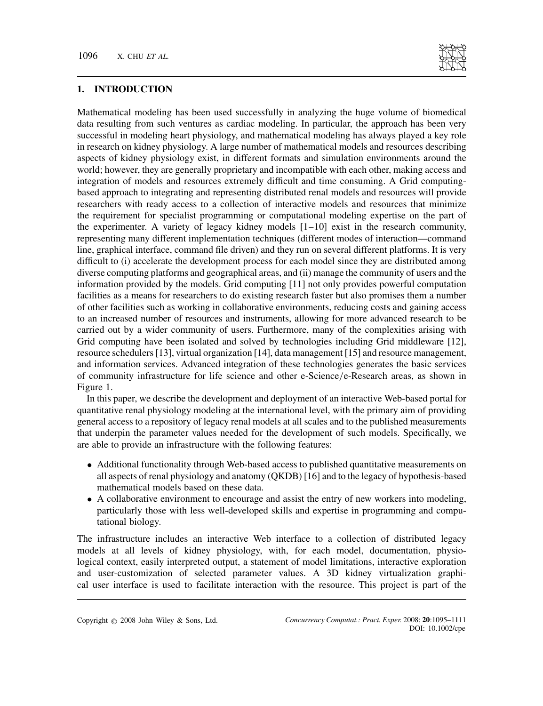

## **1. INTRODUCTION**

Mathematical modeling has been used successfully in analyzing the huge volume of biomedical data resulting from such ventures as cardiac modeling. In particular, the approach has been very successful in modeling heart physiology, and mathematical modeling has always played a key role in research on kidney physiology. A large number of mathematical models and resources describing aspects of kidney physiology exist, in different formats and simulation environments around the world; however, they are generally proprietary and incompatible with each other, making access and integration of models and resources extremely difficult and time consuming. A Grid computingbased approach to integrating and representing distributed renal models and resources will provide researchers with ready access to a collection of interactive models and resources that minimize the requirement for specialist programming or computational modeling expertise on the part of the experimenter. A variety of legacy kidney models  $[1–10]$  exist in the research community, representing many different implementation techniques (different modes of interaction—command line, graphical interface, command file driven) and they run on several different platforms. It is very difficult to (i) accelerate the development process for each model since they are distributed among diverse computing platforms and geographical areas, and (ii) manage the community of users and the information provided by the models. Grid computing [11] not only provides powerful computation facilities as a means for researchers to do existing research faster but also promises them a number of other facilities such as working in collaborative environments, reducing costs and gaining access to an increased number of resources and instruments, allowing for more advanced research to be carried out by a wider community of users. Furthermore, many of the complexities arising with Grid computing have been isolated and solved by technologies including Grid middleware [12], resource schedulers[13], virtual organization [14], data management [15] and resource management, and information services. Advanced integration of these technologies generates the basic services of community infrastructure for life science and other e-Science*/*e-Research areas, as shown in Figure 1.

In this paper, we describe the development and deployment of an interactive Web-based portal for quantitative renal physiology modeling at the international level, with the primary aim of providing general access to a repository of legacy renal models at all scales and to the published measurements that underpin the parameter values needed for the development of such models. Specifically, we are able to provide an infrastructure with the following features:

- Additional functionality through Web-based access to published quantitative measurements on all aspects of renal physiology and anatomy (QKDB) [16] and to the legacy of hypothesis-based mathematical models based on these data.
- A collaborative environment to encourage and assist the entry of new workers into modeling, particularly those with less well-developed skills and expertise in programming and computational biology.

The infrastructure includes an interactive Web interface to a collection of distributed legacy models at all levels of kidney physiology, with, for each model, documentation, physiological context, easily interpreted output, a statement of model limitations, interactive exploration and user-customization of selected parameter values. A 3D kidney virtualization graphical user interface is used to facilitate interaction with the resource. This project is part of the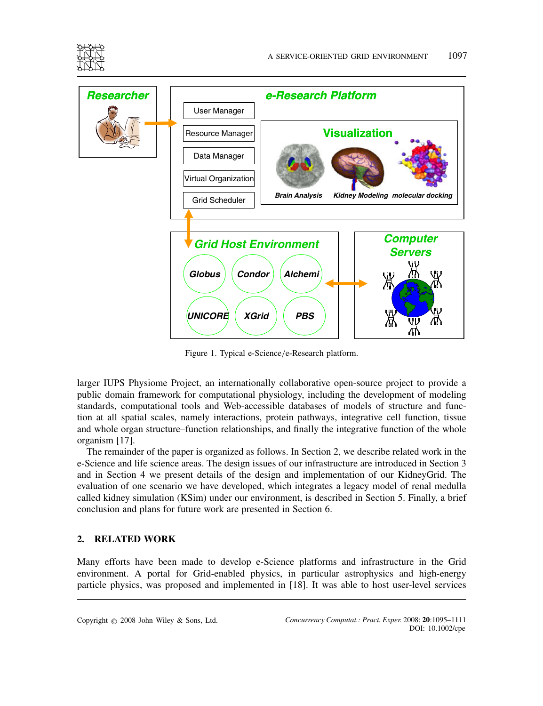



Figure 1. Typical e-Science*/*e-Research platform.

larger IUPS Physiome Project, an internationally collaborative open-source project to provide a public domain framework for computational physiology, including the development of modeling standards, computational tools and Web-accessible databases of models of structure and function at all spatial scales, namely interactions, protein pathways, integrative cell function, tissue and whole organ structure–function relationships, and finally the integrative function of the whole organism [17].

The remainder of the paper is organized as follows. In Section 2, we describe related work in the e-Science and life science areas. The design issues of our infrastructure are introduced in Section 3 and in Section 4 we present details of the design and implementation of our KidneyGrid. The evaluation of one scenario we have developed, which integrates a legacy model of renal medulla called kidney simulation (KSim) under our environment, is described in Section 5. Finally, a brief conclusion and plans for future work are presented in Section 6.

## **2. RELATED WORK**

Many efforts have been made to develop e-Science platforms and infrastructure in the Grid environment. A portal for Grid-enabled physics, in particular astrophysics and high-energy particle physics, was proposed and implemented in [18]. It was able to host user-level services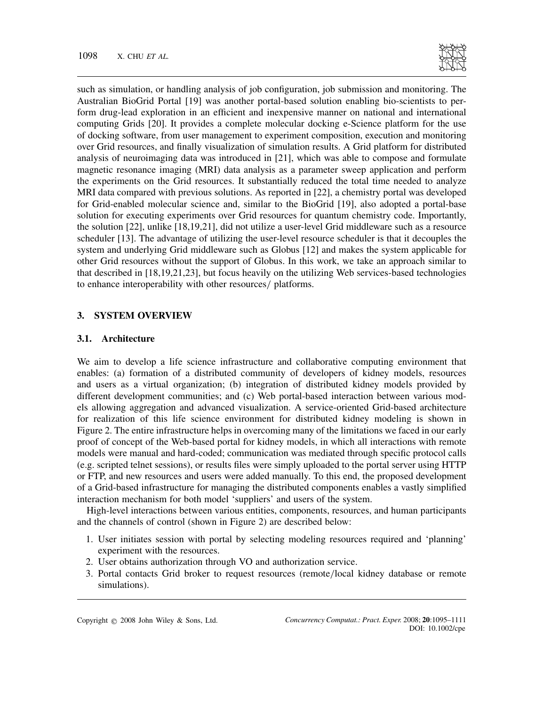

such as simulation, or handling analysis of job configuration, job submission and monitoring. The Australian BioGrid Portal [19] was another portal-based solution enabling bio-scientists to perform drug-lead exploration in an efficient and inexpensive manner on national and international computing Grids [20]. It provides a complete molecular docking e-Science platform for the use of docking software, from user management to experiment composition, execution and monitoring over Grid resources, and finally visualization of simulation results. A Grid platform for distributed analysis of neuroimaging data was introduced in [21], which was able to compose and formulate magnetic resonance imaging (MRI) data analysis as a parameter sweep application and perform the experiments on the Grid resources. It substantially reduced the total time needed to analyze MRI data compared with previous solutions. As reported in [22], a chemistry portal was developed for Grid-enabled molecular science and, similar to the BioGrid [19], also adopted a portal-base solution for executing experiments over Grid resources for quantum chemistry code. Importantly, the solution [22], unlike [18,19,21], did not utilize a user-level Grid middleware such as a resource scheduler [13]. The advantage of utilizing the user-level resource scheduler is that it decouples the system and underlying Grid middleware such as Globus [12] and makes the system applicable for other Grid resources without the support of Globus. In this work, we take an approach similar to that described in [18,19,21,23], but focus heavily on the utilizing Web services-based technologies to enhance interoperability with other resources*/* platforms.

## **3. SYSTEM OVERVIEW**

#### **3.1. Architecture**

We aim to develop a life science infrastructure and collaborative computing environment that enables: (a) formation of a distributed community of developers of kidney models, resources and users as a virtual organization; (b) integration of distributed kidney models provided by different development communities; and (c) Web portal-based interaction between various models allowing aggregation and advanced visualization. A service-oriented Grid-based architecture for realization of this life science environment for distributed kidney modeling is shown in Figure 2. The entire infrastructure helps in overcoming many of the limitations we faced in our early proof of concept of the Web-based portal for kidney models, in which all interactions with remote models were manual and hard-coded; communication was mediated through specific protocol calls (e.g. scripted telnet sessions), or results files were simply uploaded to the portal server using HTTP or FTP, and new resources and users were added manually. To this end, the proposed development of a Grid-based infrastructure for managing the distributed components enables a vastly simplified interaction mechanism for both model 'suppliers' and users of the system.

High-level interactions between various entities, components, resources, and human participants and the channels of control (shown in Figure 2) are described below:

- 1. User initiates session with portal by selecting modeling resources required and 'planning' experiment with the resources.
- 2. User obtains authorization through VO and authorization service.
- 3. Portal contacts Grid broker to request resources (remote*/*local kidney database or remote simulations).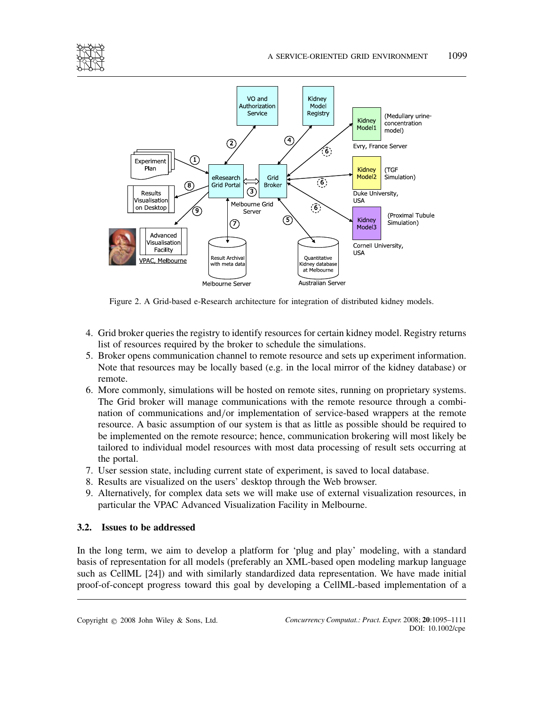

Figure 2. A Grid-based e-Research architecture for integration of distributed kidney models.

- 4. Grid broker queries the registry to identify resources for certain kidney model. Registry returns list of resources required by the broker to schedule the simulations.
- 5. Broker opens communication channel to remote resource and sets up experiment information. Note that resources may be locally based (e.g. in the local mirror of the kidney database) or remote.
- 6. More commonly, simulations will be hosted on remote sites, running on proprietary systems. The Grid broker will manage communications with the remote resource through a combination of communications and*/*or implementation of service-based wrappers at the remote resource. A basic assumption of our system is that as little as possible should be required to be implemented on the remote resource; hence, communication brokering will most likely be tailored to individual model resources with most data processing of result sets occurring at the portal.
- 7. User session state, including current state of experiment, is saved to local database.
- 8. Results are visualized on the users' desktop through the Web browser.
- 9. Alternatively, for complex data sets we will make use of external visualization resources, in particular the VPAC Advanced Visualization Facility in Melbourne.

#### **3.2. Issues to be addressed**

In the long term, we aim to develop a platform for 'plug and play' modeling, with a standard basis of representation for all models (preferably an XML-based open modeling markup language such as CellML [24]) and with similarly standardized data representation. We have made initial proof-of-concept progress toward this goal by developing a CellML-based implementation of a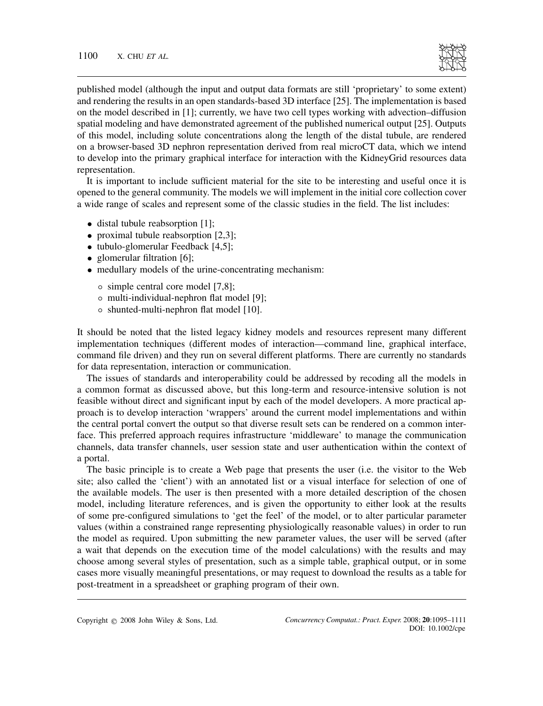

published model (although the input and output data formats are still 'proprietary' to some extent) and rendering the results in an open standards-based 3D interface [25]. The implementation is based on the model described in [1]; currently, we have two cell types working with advection–diffusion spatial modeling and have demonstrated agreement of the published numerical output [25]. Outputs of this model, including solute concentrations along the length of the distal tubule, are rendered on a browser-based 3D nephron representation derived from real microCT data, which we intend to develop into the primary graphical interface for interaction with the KidneyGrid resources data representation.

It is important to include sufficient material for the site to be interesting and useful once it is opened to the general community. The models we will implement in the initial core collection cover a wide range of scales and represent some of the classic studies in the field. The list includes:

- distal tubule reabsorption [1];
- proximal tubule reabsorption [2,3];
- tubulo-glomerular Feedback [4,5];
- glomerular filtration [6];
- medullary models of the urine-concentrating mechanism:
	- simple central core model [7,8];
	- multi-individual-nephron flat model [9];
	- shunted-multi-nephron flat model [10].

It should be noted that the listed legacy kidney models and resources represent many different implementation techniques (different modes of interaction—command line, graphical interface, command file driven) and they run on several different platforms. There are currently no standards for data representation, interaction or communication.

The issues of standards and interoperability could be addressed by recoding all the models in a common format as discussed above, but this long-term and resource-intensive solution is not feasible without direct and significant input by each of the model developers. A more practical approach is to develop interaction 'wrappers' around the current model implementations and within the central portal convert the output so that diverse result sets can be rendered on a common interface. This preferred approach requires infrastructure 'middleware' to manage the communication channels, data transfer channels, user session state and user authentication within the context of a portal.

The basic principle is to create a Web page that presents the user (i.e. the visitor to the Web site; also called the 'client') with an annotated list or a visual interface for selection of one of the available models. The user is then presented with a more detailed description of the chosen model, including literature references, and is given the opportunity to either look at the results of some pre-configured simulations to 'get the feel' of the model, or to alter particular parameter values (within a constrained range representing physiologically reasonable values) in order to run the model as required. Upon submitting the new parameter values, the user will be served (after a wait that depends on the execution time of the model calculations) with the results and may choose among several styles of presentation, such as a simple table, graphical output, or in some cases more visually meaningful presentations, or may request to download the results as a table for post-treatment in a spreadsheet or graphing program of their own.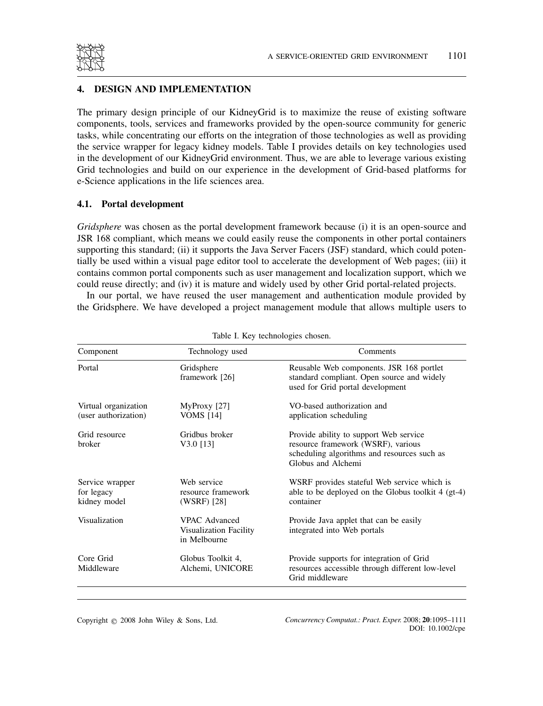

## **4. DESIGN AND IMPLEMENTATION**

The primary design principle of our KidneyGrid is to maximize the reuse of existing software components, tools, services and frameworks provided by the open-source community for generic tasks, while concentrating our efforts on the integration of those technologies as well as providing the service wrapper for legacy kidney models. Table I provides details on key technologies used in the development of our KidneyGrid environment. Thus, we are able to leverage various existing Grid technologies and build on our experience in the development of Grid-based platforms for e-Science applications in the life sciences area.

## **4.1. Portal development**

*Gridsphere* was chosen as the portal development framework because (i) it is an open-source and JSR 168 compliant, which means we could easily reuse the components in other portal containers supporting this standard; (ii) it supports the Java Server Facers (JSF) standard, which could potentially be used within a visual page editor tool to accelerate the development of Web pages; (iii) it contains common portal components such as user management and localization support, which we could reuse directly; and (iv) it is mature and widely used by other Grid portal-related projects.

In our portal, we have reused the user management and authentication module provided by the Gridsphere. We have developed a project management module that allows multiple users to

| Component                                     | Technology used                                                       | Comments                                                                                                                                          |  |
|-----------------------------------------------|-----------------------------------------------------------------------|---------------------------------------------------------------------------------------------------------------------------------------------------|--|
| Portal                                        | Gridsphere<br>framework [26]                                          | Reusable Web components. JSR 168 portlet<br>standard compliant. Open source and widely<br>used for Grid portal development                        |  |
| Virtual organization<br>(user authorization)  | $MyProxy$ [27]<br><b>VOMS</b> [14]                                    | VO-based authorization and<br>application scheduling                                                                                              |  |
| Grid resource<br>broker                       | Gridbus broker<br>$V3.0$ [13]                                         | Provide ability to support Web service<br>resource framework (WSRF), various<br>scheduling algorithms and resources such as<br>Globus and Alchemi |  |
| Service wrapper<br>for legacy<br>kidney model | Web service<br>resource framework<br>(WSRF) [28]                      | WSRF provides stateful Web service which is<br>able to be deployed on the Globus toolkit 4 (gt-4)<br>container                                    |  |
| Visualization                                 | <b>VPAC</b> Advanced<br><b>Visualization Facility</b><br>in Melbourne | Provide Java applet that can be easily<br>integrated into Web portals                                                                             |  |
| Core Grid<br>Middleware                       | Globus Toolkit 4,<br>Alchemi, UNICORE                                 | Provide supports for integration of Grid<br>resources accessible through different low-level<br>Grid middleware                                   |  |

Table I. Key technologies chosen.

Copyright q 2008 John Wiley & Sons, Ltd. *Concurrency Computat.: Pract. Exper.* 2008; **20**:1095–1111 DOI: 10.1002/cpe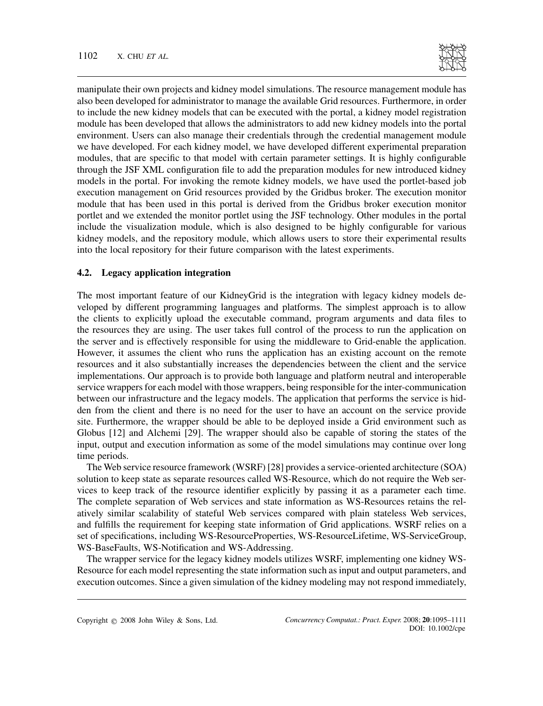

manipulate their own projects and kidney model simulations. The resource management module has also been developed for administrator to manage the available Grid resources. Furthermore, in order to include the new kidney models that can be executed with the portal, a kidney model registration module has been developed that allows the administrators to add new kidney models into the portal environment. Users can also manage their credentials through the credential management module we have developed. For each kidney model, we have developed different experimental preparation modules, that are specific to that model with certain parameter settings. It is highly configurable through the JSF XML configuration file to add the preparation modules for new introduced kidney models in the portal. For invoking the remote kidney models, we have used the portlet-based job execution management on Grid resources provided by the Gridbus broker. The execution monitor module that has been used in this portal is derived from the Gridbus broker execution monitor portlet and we extended the monitor portlet using the JSF technology. Other modules in the portal include the visualization module, which is also designed to be highly configurable for various kidney models, and the repository module, which allows users to store their experimental results into the local repository for their future comparison with the latest experiments.

#### **4.2. Legacy application integration**

The most important feature of our KidneyGrid is the integration with legacy kidney models developed by different programming languages and platforms. The simplest approach is to allow the clients to explicitly upload the executable command, program arguments and data files to the resources they are using. The user takes full control of the process to run the application on the server and is effectively responsible for using the middleware to Grid-enable the application. However, it assumes the client who runs the application has an existing account on the remote resources and it also substantially increases the dependencies between the client and the service implementations. Our approach is to provide both language and platform neutral and interoperable service wrappers for each model with those wrappers, being responsible for the inter-communication between our infrastructure and the legacy models. The application that performs the service is hidden from the client and there is no need for the user to have an account on the service provide site. Furthermore, the wrapper should be able to be deployed inside a Grid environment such as Globus [12] and Alchemi [29]. The wrapper should also be capable of storing the states of the input, output and execution information as some of the model simulations may continue over long time periods.

The Web service resource framework (WSRF) [28] provides a service-oriented architecture (SOA) solution to keep state as separate resources called WS-Resource, which do not require the Web services to keep track of the resource identifier explicitly by passing it as a parameter each time. The complete separation of Web services and state information as WS-Resources retains the relatively similar scalability of stateful Web services compared with plain stateless Web services, and fulfills the requirement for keeping state information of Grid applications. WSRF relies on a set of specifications, including WS-ResourceProperties, WS-ResourceLifetime, WS-ServiceGroup, WS-BaseFaults, WS-Notification and WS-Addressing.

The wrapper service for the legacy kidney models utilizes WSRF, implementing one kidney WS-Resource for each model representing the state information such as input and output parameters, and execution outcomes. Since a given simulation of the kidney modeling may not respond immediately,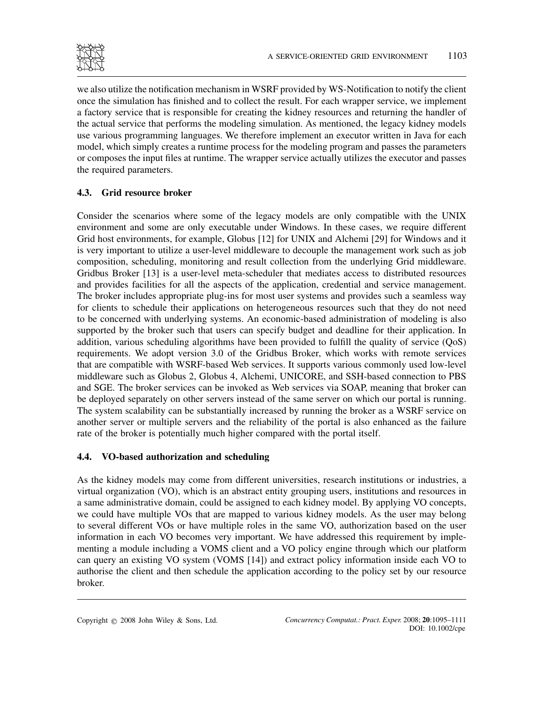

we also utilize the notification mechanism in WSRF provided by WS-Notification to notify the client once the simulation has finished and to collect the result. For each wrapper service, we implement a factory service that is responsible for creating the kidney resources and returning the handler of the actual service that performs the modeling simulation. As mentioned, the legacy kidney models use various programming languages. We therefore implement an executor written in Java for each model, which simply creates a runtime process for the modeling program and passes the parameters or composes the input files at runtime. The wrapper service actually utilizes the executor and passes the required parameters.

# **4.3. Grid resource broker**

Consider the scenarios where some of the legacy models are only compatible with the UNIX environment and some are only executable under Windows. In these cases, we require different Grid host environments, for example, Globus [12] for UNIX and Alchemi [29] for Windows and it is very important to utilize a user-level middleware to decouple the management work such as job composition, scheduling, monitoring and result collection from the underlying Grid middleware. Gridbus Broker [13] is a user-level meta-scheduler that mediates access to distributed resources and provides facilities for all the aspects of the application, credential and service management. The broker includes appropriate plug-ins for most user systems and provides such a seamless way for clients to schedule their applications on heterogeneous resources such that they do not need to be concerned with underlying systems. An economic-based administration of modeling is also supported by the broker such that users can specify budget and deadline for their application. In addition, various scheduling algorithms have been provided to fulfill the quality of service (QoS) requirements. We adopt version 3.0 of the Gridbus Broker, which works with remote services that are compatible with WSRF-based Web services. It supports various commonly used low-level middleware such as Globus 2, Globus 4, Alchemi, UNICORE, and SSH-based connection to PBS and SGE. The broker services can be invoked as Web services via SOAP, meaning that broker can be deployed separately on other servers instead of the same server on which our portal is running. The system scalability can be substantially increased by running the broker as a WSRF service on another server or multiple servers and the reliability of the portal is also enhanced as the failure rate of the broker is potentially much higher compared with the portal itself.

## **4.4. VO-based authorization and scheduling**

As the kidney models may come from different universities, research institutions or industries, a virtual organization (VO), which is an abstract entity grouping users, institutions and resources in a same administrative domain, could be assigned to each kidney model. By applying VO concepts, we could have multiple VOs that are mapped to various kidney models. As the user may belong to several different VOs or have multiple roles in the same VO, authorization based on the user information in each VO becomes very important. We have addressed this requirement by implementing a module including a VOMS client and a VO policy engine through which our platform can query an existing VO system (VOMS [14]) and extract policy information inside each VO to authorise the client and then schedule the application according to the policy set by our resource broker.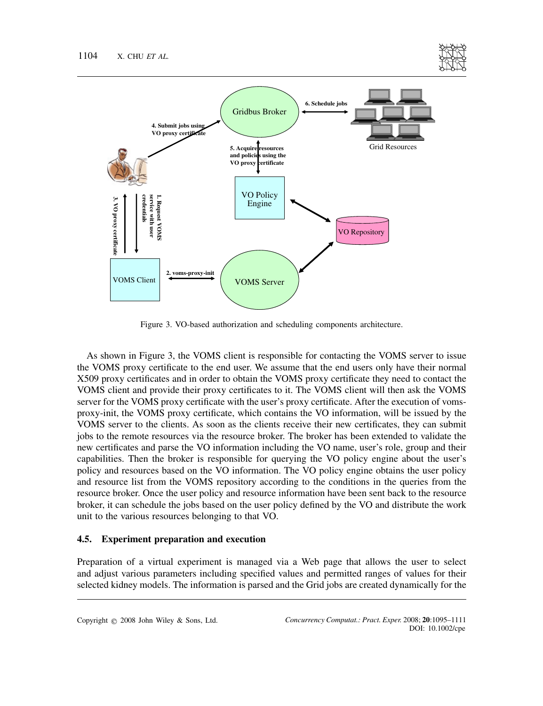



Figure 3. VO-based authorization and scheduling components architecture.

As shown in Figure 3, the VOMS client is responsible for contacting the VOMS server to issue the VOMS proxy certificate to the end user. We assume that the end users only have their normal X509 proxy certificates and in order to obtain the VOMS proxy certificate they need to contact the VOMS client and provide their proxy certificates to it. The VOMS client will then ask the VOMS server for the VOMS proxy certificate with the user's proxy certificate. After the execution of vomsproxy-init, the VOMS proxy certificate, which contains the VO information, will be issued by the VOMS server to the clients. As soon as the clients receive their new certificates, they can submit jobs to the remote resources via the resource broker. The broker has been extended to validate the new certificates and parse the VO information including the VO name, user's role, group and their capabilities. Then the broker is responsible for querying the VO policy engine about the user's policy and resources based on the VO information. The VO policy engine obtains the user policy and resource list from the VOMS repository according to the conditions in the queries from the resource broker. Once the user policy and resource information have been sent back to the resource broker, it can schedule the jobs based on the user policy defined by the VO and distribute the work unit to the various resources belonging to that VO.

#### **4.5. Experiment preparation and execution**

Preparation of a virtual experiment is managed via a Web page that allows the user to select and adjust various parameters including specified values and permitted ranges of values for their selected kidney models. The information is parsed and the Grid jobs are created dynamically for the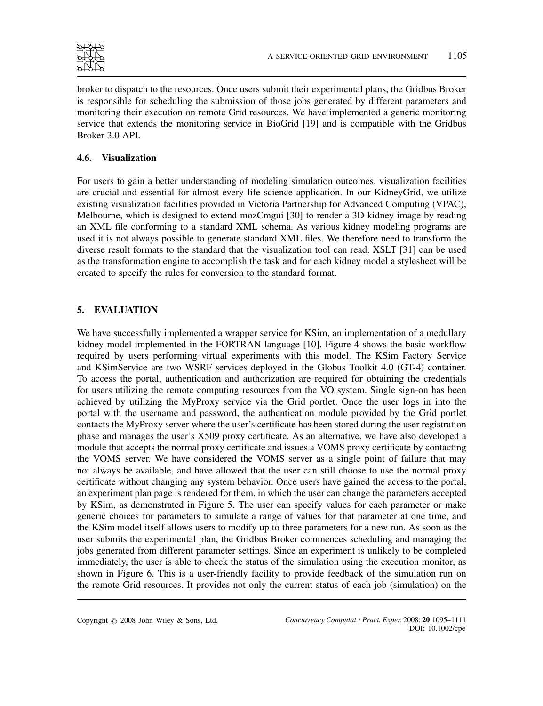

broker to dispatch to the resources. Once users submit their experimental plans, the Gridbus Broker is responsible for scheduling the submission of those jobs generated by different parameters and monitoring their execution on remote Grid resources. We have implemented a generic monitoring service that extends the monitoring service in BioGrid [19] and is compatible with the Gridbus Broker 3.0 API.

## **4.6. Visualization**

For users to gain a better understanding of modeling simulation outcomes, visualization facilities are crucial and essential for almost every life science application. In our KidneyGrid, we utilize existing visualization facilities provided in Victoria Partnership for Advanced Computing (VPAC), Melbourne, which is designed to extend mozCmgui [30] to render a 3D kidney image by reading an XML file conforming to a standard XML schema. As various kidney modeling programs are used it is not always possible to generate standard XML files. We therefore need to transform the diverse result formats to the standard that the visualization tool can read. XSLT [31] can be used as the transformation engine to accomplish the task and for each kidney model a stylesheet will be created to specify the rules for conversion to the standard format.

# **5. EVALUATION**

We have successfully implemented a wrapper service for KSim, an implementation of a medullary kidney model implemented in the FORTRAN language [10]. Figure 4 shows the basic workflow required by users performing virtual experiments with this model. The KSim Factory Service and KSimService are two WSRF services deployed in the Globus Toolkit 4.0 (GT-4) container. To access the portal, authentication and authorization are required for obtaining the credentials for users utilizing the remote computing resources from the VO system. Single sign-on has been achieved by utilizing the MyProxy service via the Grid portlet. Once the user logs in into the portal with the username and password, the authentication module provided by the Grid portlet contacts the MyProxy server where the user's certificate has been stored during the user registration phase and manages the user's X509 proxy certificate. As an alternative, we have also developed a module that accepts the normal proxy certificate and issues a VOMS proxy certificate by contacting the VOMS server. We have considered the VOMS server as a single point of failure that may not always be available, and have allowed that the user can still choose to use the normal proxy certificate without changing any system behavior. Once users have gained the access to the portal, an experiment plan page is rendered for them, in which the user can change the parameters accepted by KSim, as demonstrated in Figure 5. The user can specify values for each parameter or make generic choices for parameters to simulate a range of values for that parameter at one time, and the KSim model itself allows users to modify up to three parameters for a new run. As soon as the user submits the experimental plan, the Gridbus Broker commences scheduling and managing the jobs generated from different parameter settings. Since an experiment is unlikely to be completed immediately, the user is able to check the status of the simulation using the execution monitor, as shown in Figure 6. This is a user-friendly facility to provide feedback of the simulation run on the remote Grid resources. It provides not only the current status of each job (simulation) on the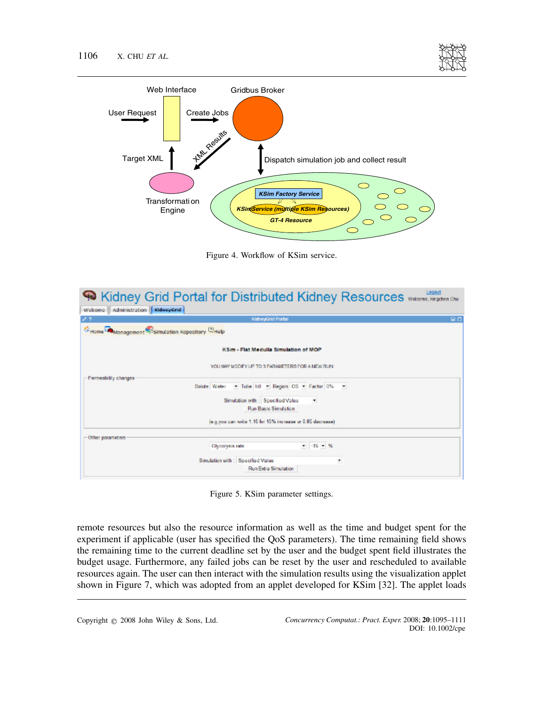

Figure 4. Workflow of KSim service.

| <b>We Kidney Grid Portal for Distributed Kidney Resources</b> Welsone, Xingchen Chu |                                                             |           |   | Logout |
|-------------------------------------------------------------------------------------|-------------------------------------------------------------|-----------|---|--------|
| Welcome Administration KidneyGrid                                                   |                                                             |           |   |        |
| $\sqrt{2}$                                                                          | KidneyGrid Portal                                           |           |   | 日口     |
| Home Management Simulation Repository (2) Help                                      |                                                             |           |   |        |
|                                                                                     | <b>KSim - Flat Medulla Simulation of MOP</b>                |           |   |        |
|                                                                                     | VOLLMAY MODIEV UP TO 3 PARAMETERS FOR A MEW RUN.            |           |   |        |
| Permeability changes                                                                |                                                             |           |   |        |
|                                                                                     | Solute Water . Tube Idl . Region OS . Factor 0% .           |           |   |        |
|                                                                                     | Simulation with : Specified Value                           | $\bullet$ |   |        |
|                                                                                     | <b>Run Basic Simulation</b>                                 |           |   |        |
|                                                                                     | (e.g.you can write 1.15 for 15% increase or 0.85 decrease). |           |   |        |
| -Other parameters                                                                   |                                                             |           |   |        |
|                                                                                     | Glycolysis rate                                             | $-15 - %$ |   |        |
|                                                                                     | Simulation with: Specified Value                            |           | ٠ |        |
|                                                                                     | Run Extra Simulation                                        |           |   |        |

Figure 5. KSim parameter settings.

remote resources but also the resource information as well as the time and budget spent for the experiment if applicable (user has specified the QoS parameters). The time remaining field shows the remaining time to the current deadline set by the user and the budget spent field illustrates the budget usage. Furthermore, any failed jobs can be reset by the user and rescheduled to available resources again. The user can then interact with the simulation results using the visualization applet shown in Figure 7, which was adopted from an applet developed for KSim [32]. The applet loads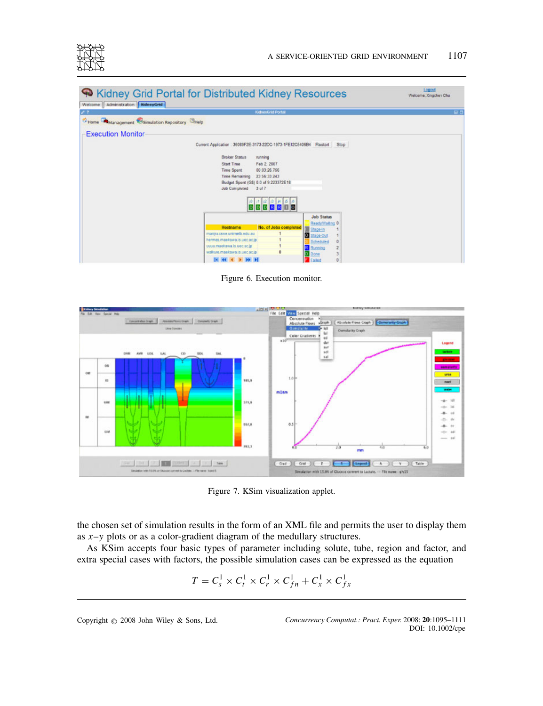

|                                              | <b>We Kidney Grid Portal for Distributed Kidney Resources</b>           | Logout<br>Welcome, Xingchen Chu |
|----------------------------------------------|-------------------------------------------------------------------------|---------------------------------|
| Administration   MidneyGrid<br>Welcome<br>77 | KidneyGrid Portal                                                       | <b>BD</b>                       |
| Home Management Ssimulation Repository THelp |                                                                         |                                 |
| <b>Execution Monitor</b>                     |                                                                         |                                 |
|                                              | Current Application : 36089F2E-3173-22DC-1973-1FE12C5406B4 Restart Stop |                                 |
|                                              | Broker Status<br>nunning                                                |                                 |
|                                              | <b>Start Time</b><br>Feb 2, 2007                                        |                                 |
|                                              | <b>Time Spent</b><br>00:03:26.756                                       |                                 |
|                                              | Time Remaining<br>23:56:33.243                                          |                                 |
|                                              | Budget Spent (G\$) 0.0 of 9.223372E18                                   |                                 |
|                                              | <b>Job Completed</b><br>3 u 7                                           |                                 |
|                                              |                                                                         |                                 |
|                                              | <b>BBBBBBB</b>                                                          |                                 |
|                                              |                                                                         |                                 |
|                                              | <b>Job Status</b>                                                       |                                 |
|                                              | ReadulWaiting 0<br>No. of Jobs completed<br>Hostname                    |                                 |
|                                              | Stage-In<br>manira.csse.unimelb.edu.au                                  |                                 |
|                                              | Stage-Out<br>hermes.maekawa.is.uec.ac.jp                                |                                 |
|                                              | Scheduled<br>uuuu maekawa is uecac jp                                   |                                 |
|                                              | Running                                                                 |                                 |
|                                              | walkure.maekawa.is.uec.ac.jp<br>Done                                    |                                 |
|                                              | The late of the base of<br><b>B</b> Exter                               |                                 |

Figure 6. Execution monitor.



Figure 7. KSim visualization applet.

the chosen set of simulation results in the form of an XML file and permits the user to display them as *x*–*y* plots or as a color-gradient diagram of the medullary structures.

As KSim accepts four basic types of parameter including solute, tube, region and factor, and extra special cases with factors, the possible simulation cases can be expressed as the equation

$$
T = C_s^1 \times C_t^1 \times C_r^1 \times C_{fn}^1 + C_x^1 \times C_{fx}^1
$$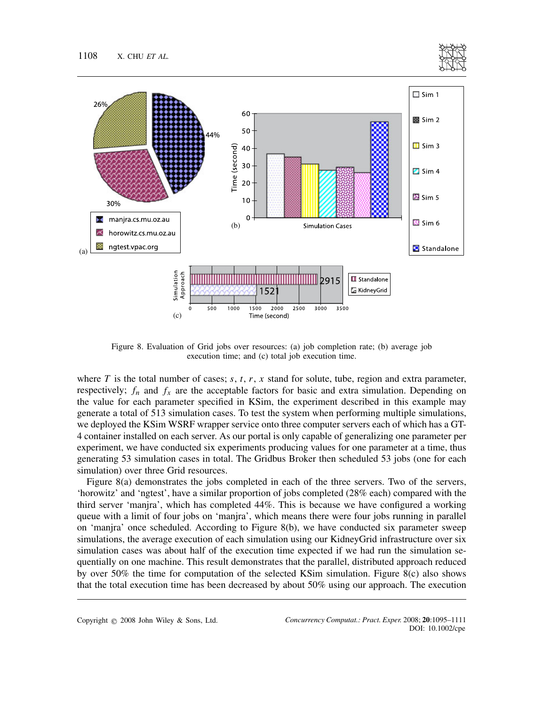



Figure 8. Evaluation of Grid jobs over resources: (a) job completion rate; (b) average job execution time; and (c) total job execution time.

where  $T$  is the total number of cases;  $s, t, r, x$  stand for solute, tube, region and extra parameter, respectively;  $f_n$  and  $f_x$  are the acceptable factors for basic and extra simulation. Depending on the value for each parameter specified in KSim, the experiment described in this example may generate a total of 513 simulation cases. To test the system when performing multiple simulations, we deployed the KSim WSRF wrapper service onto three computer servers each of which has a GT-4 container installed on each server. As our portal is only capable of generalizing one parameter per experiment, we have conducted six experiments producing values for one parameter at a time, thus generating 53 simulation cases in total. The Gridbus Broker then scheduled 53 jobs (one for each simulation) over three Grid resources.

Figure 8(a) demonstrates the jobs completed in each of the three servers. Two of the servers, 'horowitz' and 'ngtest', have a similar proportion of jobs completed (28% each) compared with the third server 'manjra', which has completed 44%. This is because we have configured a working queue with a limit of four jobs on 'manjra', which means there were four jobs running in parallel on 'manjra' once scheduled. According to Figure 8(b), we have conducted six parameter sweep simulations, the average execution of each simulation using our KidneyGrid infrastructure over six simulation cases was about half of the execution time expected if we had run the simulation sequentially on one machine. This result demonstrates that the parallel, distributed approach reduced by over 50% the time for computation of the selected KSim simulation. Figure 8(c) also shows that the total execution time has been decreased by about 50% using our approach. The execution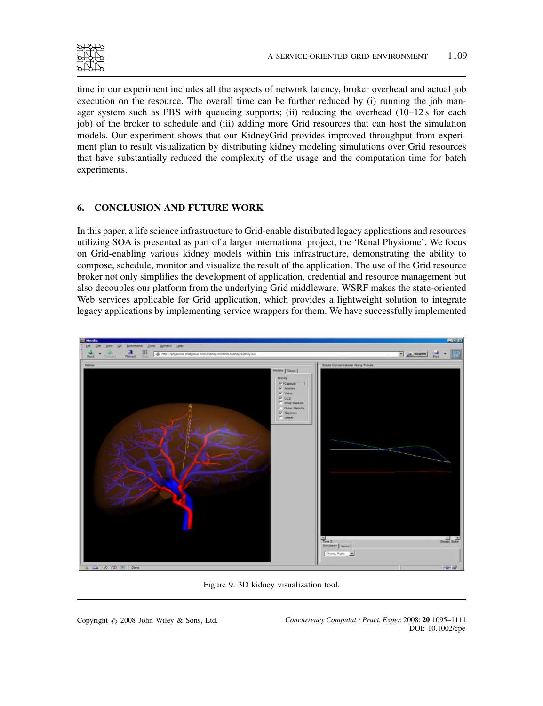

time in our experiment includes all the aspects of network latency, broker overhead and actual job execution on the resource. The overall time can be further reduced by (i) running the job manager system such as PBS with queueing supports; (ii) reducing the overhead  $(10-12s)$  for each job) of the broker to schedule and (iii) adding more Grid resources that can host the simulation models. Our experiment shows that our KidneyGrid provides improved throughput from experiment plan to result visualization by distributing kidney modeling simulations over Grid resources that have substantially reduced the complexity of the usage and the computation time for batch experiments.

# **6. CONCLUSION AND FUTURE WORK**

In this paper, a life science infrastructure to Grid-enable distributed legacy applications and resources utilizing SOA is presented as part of a larger international project, the 'Renal Physiome'. We focus on Grid-enabling various kidney models within this infrastructure, demonstrating the ability to compose, schedule, monitor and visualize the result of the application. The use of the Grid resource broker not only simplifies the development of application, credential and resource management but also decouples our platform from the underlying Grid middleware. WSRF makes the state-oriented Web services applicable for Grid application, which provides a lightweight solution to integrate legacy applications by implementing service wrappers for them. We have successfully implemented



Figure 9. 3D kidney visualization tool.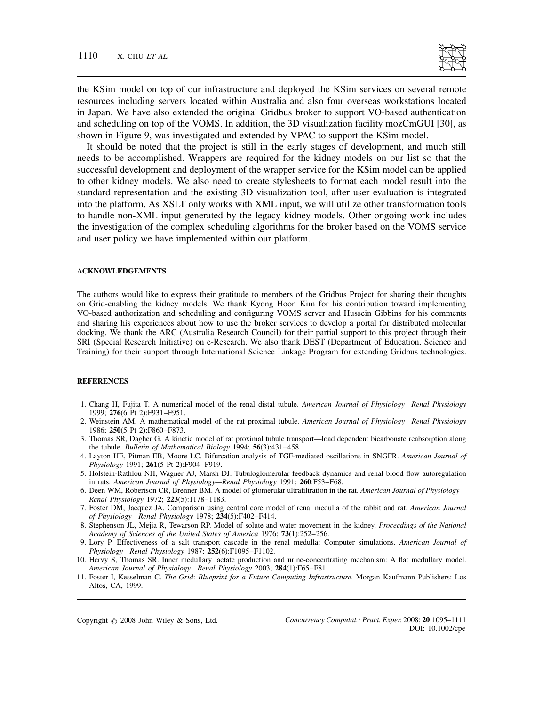

the KSim model on top of our infrastructure and deployed the KSim services on several remote resources including servers located within Australia and also four overseas workstations located in Japan. We have also extended the original Gridbus broker to support VO-based authentication and scheduling on top of the VOMS. In addition, the 3D visualization facility mozCmGUI [30], as shown in Figure 9, was investigated and extended by VPAC to support the KSim model.

It should be noted that the project is still in the early stages of development, and much still needs to be accomplished. Wrappers are required for the kidney models on our list so that the successful development and deployment of the wrapper service for the KSim model can be applied to other kidney models. We also need to create stylesheets to format each model result into the standard representation and the existing 3D visualization tool, after user evaluation is integrated into the platform. As XSLT only works with XML input, we will utilize other transformation tools to handle non-XML input generated by the legacy kidney models. Other ongoing work includes the investigation of the complex scheduling algorithms for the broker based on the VOMS service and user policy we have implemented within our platform.

#### **ACKNOWLEDGEMENTS**

The authors would like to express their gratitude to members of the Gridbus Project for sharing their thoughts on Grid-enabling the kidney models. We thank Kyong Hoon Kim for his contribution toward implementing VO-based authorization and scheduling and configuring VOMS server and Hussein Gibbins for his comments and sharing his experiences about how to use the broker services to develop a portal for distributed molecular docking. We thank the ARC (Australia Research Council) for their partial support to this project through their SRI (Special Research Initiative) on e-Research. We also thank DEST (Department of Education, Science and Training) for their support through International Science Linkage Program for extending Gridbus technologies.

#### **REFERENCES**

- 1. Chang H, Fujita T. A numerical model of the renal distal tubule. *American Journal of Physiology—Renal Physiology* 1999; **276**(6 Pt 2):F931–F951.
- 2. Weinstein AM. A mathematical model of the rat proximal tubule. *American Journal of Physiology—Renal Physiology* 1986; **250**(5 Pt 2):F860–F873.
- 3. Thomas SR, Dagher G. A kinetic model of rat proximal tubule transport—load dependent bicarbonate reabsorption along the tubule. *Bulletin of Mathematical Biology* 1994; **56**(3):431–458.
- 4. Layton HE, Pitman EB, Moore LC. Bifurcation analysis of TGF-mediated oscillations in SNGFR. *American Journal of Physiology* 1991; **261**(5 Pt 2):F904–F919.
- 5. Holstein-Rathlou NH, Wagner AJ, Marsh DJ. Tubuloglomerular feedback dynamics and renal blood flow autoregulation in rats. *American Journal of Physiology—Renal Physiology* 1991; **260**:F53–F68.
- 6. Deen WM, Robertson CR, Brenner BM. A model of glomerular ultrafiltration in the rat. *American Journal of Physiology— Renal Physiology* 1972; **223**(5):1178–1183.
- 7. Foster DM, Jacquez JA. Comparison using central core model of renal medulla of the rabbit and rat. *American Journal of Physiology—Renal Physiology* 1978; **234**(5):F402–F414.
- 8. Stephenson JL, Mejia R, Tewarson RP. Model of solute and water movement in the kidney. *Proceedings of the National Academy of Sciences of the United States of America* 1976; **73**(1):252–256.
- 9. Lory P. Effectiveness of a salt transport cascade in the renal medulla: Computer simulations. *American Journal of Physiology—Renal Physiology* 1987; **252**(6):F1095–F1102.
- 10. Hervy S, Thomas SR. Inner medullary lactate production and urine-concentrating mechanism: A flat medullary model. *American Journal of Physiology—Renal Physiology* 2003; **284**(1):F65–F81.
- 11. Foster I, Kesselman C. *The Grid*: *Blueprint for a Future Computing Infrastructure*. Morgan Kaufmann Publishers: Los Altos, CA, 1999.